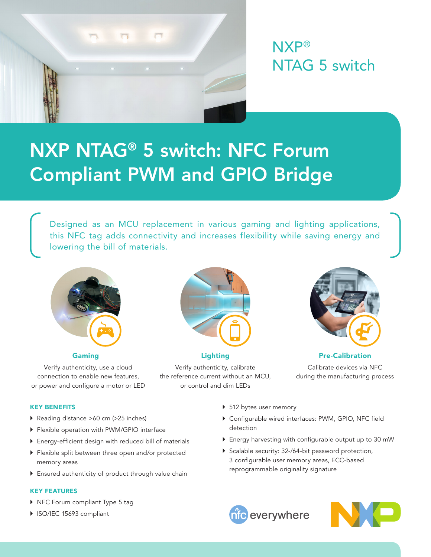

NXP® NTAG 5 switch

# NXP NTAG® 5 switch: NFC Forum Compliant PWM and GPIO Bridge

Designed as an MCU replacement in various gaming and lighting applications, this NFC tag adds connectivity and increases flexibility while saving energy and lowering the bill of materials.



Verify authenticity, use a cloud connection to enable new features, or power and configure a motor or LED



Verify authenticity, calibrate the reference current without an MCU, or control and dim LEDs



Gaming **Caming Community** Community Lighting **Community Community Pre-Calibration** Calibrate devices via NFC during the manufacturing process

## KEY BENEFITS

- } Reading distance >60 cm (>25 inches)
- } Flexible operation with PWM/GPIO interface
- } Energy-efficient design with reduced bill of materials
- } Flexible split between three open and/or protected memory areas
- } Ensured authenticity of product through value chain

## KEY FEATURES

- } NFC Forum compliant Type 5 tag
- } ISO/IEC 15693 compliant
- ▶ 512 bytes user memory
- } Configurable wired interfaces: PWM, GPIO, NFC field detection
- } Energy harvesting with configurable output up to 30 mW
- ▶ Scalable security: 32-/64-bit password protection, 3 configurable user memory areas, ECC-based reprogrammable originality signature